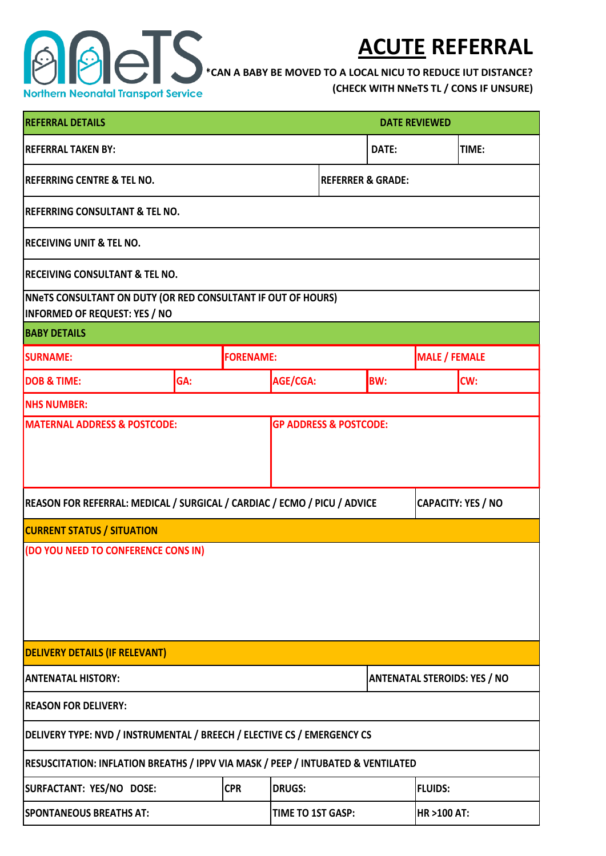

## **ACUTE REFERRAL**

**\*CAN A BABY BE MOVED TO A LOCAL NICU TO REDUCE IUT DISTANCE?** 

**(CHECK WITH NNeTS TL / CONS IF UNSURE)**

| <b>REFERRAL DETAILS</b><br><b>DATE REVIEWED</b>                                                                                                                                   |                          |  |               |       |            |                                     |            |  |
|-----------------------------------------------------------------------------------------------------------------------------------------------------------------------------------|--------------------------|--|---------------|-------|------------|-------------------------------------|------------|--|
| <b>REFERRAL TAKEN BY:</b>                                                                                                                                                         | DATE:                    |  |               | TIME: |            |                                     |            |  |
| <b>REFERRING CENTRE &amp; TEL NO.</b><br><b>REFERRER &amp; GRADE:</b>                                                                                                             |                          |  |               |       |            |                                     |            |  |
| <b>REFERRING CONSULTANT &amp; TEL NO.</b>                                                                                                                                         |                          |  |               |       |            |                                     |            |  |
| <b>IRECEIVING UNIT &amp; TEL NO.</b>                                                                                                                                              |                          |  |               |       |            |                                     |            |  |
| <b>RECEIVING CONSULTANT &amp; TEL NO.</b>                                                                                                                                         |                          |  |               |       |            |                                     |            |  |
| <b>NNeTS CONSULTANT ON DUTY (OR RED CONSULTANT IF OUT OF HOURS)</b><br><b>INFORMED OF REQUEST: YES / NO</b>                                                                       |                          |  |               |       |            |                                     |            |  |
| <b>BABY DETAILS</b>                                                                                                                                                               |                          |  |               |       |            |                                     |            |  |
| <b>SURNAME:</b>                                                                                                                                                                   | <b>FORENAME:</b>         |  |               |       |            | <b>MALE / FEMALE</b>                |            |  |
| <b>DOB &amp; TIME:</b>                                                                                                                                                            | GA:                      |  | AGE/CGA:      |       | <b>BW:</b> |                                     | <b>CW:</b> |  |
| <b>NHS NUMBER:</b>                                                                                                                                                                |                          |  |               |       |            |                                     |            |  |
| REASON FOR REFERRAL: MEDICAL / SURGICAL / CARDIAC / ECMO / PICU / ADVICE<br><b>CAPACITY: YES / NO</b><br><b>CURRENT STATUS / SITUATION</b><br>(DO YOU NEED TO CONFERENCE CONS IN) |                          |  |               |       |            |                                     |            |  |
| <b>DELIVERY DETAILS (IF RELEVANT)</b>                                                                                                                                             |                          |  |               |       |            |                                     |            |  |
| <b>ANTENATAL HISTORY:</b>                                                                                                                                                         |                          |  |               |       |            | <b>ANTENATAL STEROIDS: YES / NO</b> |            |  |
| <b>REASON FOR DELIVERY:</b>                                                                                                                                                       |                          |  |               |       |            |                                     |            |  |
| DELIVERY TYPE: NVD / INSTRUMENTAL / BREECH / ELECTIVE CS / EMERGENCY CS                                                                                                           |                          |  |               |       |            |                                     |            |  |
| RESUSCITATION: INFLATION BREATHS / IPPV VIA MASK / PEEP / INTUBATED & VENTILATED                                                                                                  |                          |  |               |       |            |                                     |            |  |
| <b>CPR</b><br>SURFACTANT: YES/NO DOSE:                                                                                                                                            |                          |  | <b>DRUGS:</b> |       |            | <b>FLUIDS:</b>                      |            |  |
| <b>SPONTANEOUS BREATHS AT:</b>                                                                                                                                                    | <b>TIME TO 1ST GASP:</b> |  | HR >100 AT:   |       |            |                                     |            |  |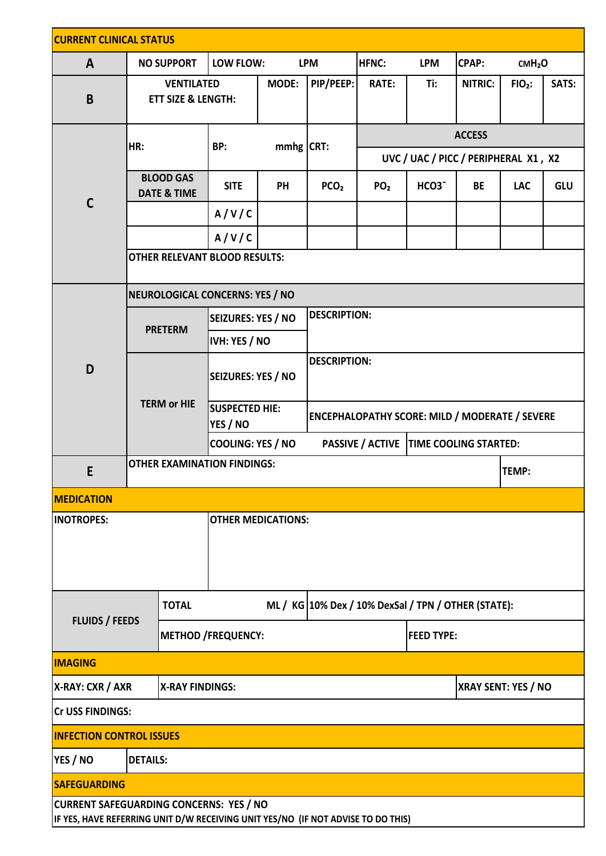| <b>CURRENT CLINICAL STATUS</b>                                                                                                     |                                            |                                                    |                                                     |              |                                          |                                                       |                            |                                    |                    |       |  |
|------------------------------------------------------------------------------------------------------------------------------------|--------------------------------------------|----------------------------------------------------|-----------------------------------------------------|--------------|------------------------------------------|-------------------------------------------------------|----------------------------|------------------------------------|--------------------|-------|--|
| $\mathsf{A}$                                                                                                                       |                                            | <b>NO SUPPORT</b><br>LOW FLOW:                     |                                                     |              | <b>LPM</b>                               | <b>HFNC:</b><br><b>LPM</b>                            |                            | <b>CPAP:</b><br>CMH <sub>2</sub> O |                    |       |  |
| $\mathbf B$                                                                                                                        |                                            | <b>VENTILATED</b><br><b>ETT SIZE &amp; LENGTH:</b> |                                                     | <b>MODE:</b> | PIP/PEEP:                                | <b>RATE:</b><br>Ti:<br>NITRIC:                        |                            |                                    | FIO <sub>2</sub> : | SATS: |  |
| $\mathsf{C}$                                                                                                                       |                                            |                                                    | BP:                                                 | $mmhg$ CRT:  |                                          | <b>ACCESS</b>                                         |                            |                                    |                    |       |  |
|                                                                                                                                    | HR:                                        |                                                    |                                                     |              |                                          | UVC / UAC / PICC / PERIPHERAL X1, X2                  |                            |                                    |                    |       |  |
|                                                                                                                                    | <b>BLOOD GAS</b><br><b>DATE &amp; TIME</b> |                                                    | <b>SITE</b>                                         | PH           | PCO <sub>2</sub>                         | PO <sub>2</sub>                                       | HCO <sub>3</sub>           | <b>BE</b>                          | <b>LAC</b>         | GLU   |  |
|                                                                                                                                    |                                            |                                                    | A/V/C                                               |              |                                          |                                                       |                            |                                    |                    |       |  |
|                                                                                                                                    |                                            |                                                    | A/V/C                                               |              |                                          |                                                       |                            |                                    |                    |       |  |
|                                                                                                                                    | <b>OTHER RELEVANT BLOOD RESULTS:</b>       |                                                    |                                                     |              |                                          |                                                       |                            |                                    |                    |       |  |
|                                                                                                                                    | NEUROLOGICAL CONCERNS: YES / NO            |                                                    |                                                     |              |                                          |                                                       |                            |                                    |                    |       |  |
|                                                                                                                                    |                                            | <b>PRETERM</b>                                     | SEIZURES: YES / NO                                  |              | <b>DESCRIPTION:</b>                      |                                                       |                            |                                    |                    |       |  |
|                                                                                                                                    |                                            |                                                    | IVH: YES / NO                                       |              |                                          |                                                       |                            |                                    |                    |       |  |
| D                                                                                                                                  | <b>TERM or HIE</b>                         |                                                    | <b>DESCRIPTION:</b><br><b>SEIZURES: YES / NO</b>    |              |                                          |                                                       |                            |                                    |                    |       |  |
|                                                                                                                                    |                                            |                                                    | <b>SUSPECTED HIE:</b><br>YES / NO                   |              |                                          | <b>ENCEPHALOPATHY SCORE: MILD / MODERATE / SEVERE</b> |                            |                                    |                    |       |  |
|                                                                                                                                    |                                            |                                                    | COOLING: YES / NO                                   |              | PASSIVE / ACTIVE   TIME COOLING STARTED: |                                                       |                            |                                    |                    |       |  |
| E                                                                                                                                  | <b>OTHER EXAMINATION FINDINGS:</b>         |                                                    |                                                     |              | TEMP:                                    |                                                       |                            |                                    |                    |       |  |
| <b>MEDICATION</b>                                                                                                                  |                                            |                                                    |                                                     |              |                                          |                                                       |                            |                                    |                    |       |  |
| <b>INOTROPES:</b>                                                                                                                  |                                            |                                                    | <b>OTHER MEDICATIONS:</b>                           |              |                                          |                                                       |                            |                                    |                    |       |  |
| <b>TOTAL</b><br><b>FLUIDS / FEEDS</b>                                                                                              |                                            |                                                    | ML / KG 10% Dex / 10% DexSal / TPN / OTHER (STATE): |              |                                          |                                                       |                            |                                    |                    |       |  |
|                                                                                                                                    |                                            |                                                    | <b>METHOD /FREQUENCY:</b>                           |              |                                          | <b>FEED TYPE:</b>                                     |                            |                                    |                    |       |  |
| <b>IMAGING</b>                                                                                                                     |                                            |                                                    |                                                     |              |                                          |                                                       |                            |                                    |                    |       |  |
| X-RAY: CXR / AXR<br><b>X-RAY FINDINGS:</b>                                                                                         |                                            |                                                    |                                                     |              |                                          |                                                       | <b>XRAY SENT: YES / NO</b> |                                    |                    |       |  |
| <b>Cr USS FINDINGS:</b>                                                                                                            |                                            |                                                    |                                                     |              |                                          |                                                       |                            |                                    |                    |       |  |
| <b>INFECTION CONTROL ISSUES</b>                                                                                                    |                                            |                                                    |                                                     |              |                                          |                                                       |                            |                                    |                    |       |  |
| YES / NO<br><b>DETAILS:</b>                                                                                                        |                                            |                                                    |                                                     |              |                                          |                                                       |                            |                                    |                    |       |  |
| <b>SAFEGUARDING</b>                                                                                                                |                                            |                                                    |                                                     |              |                                          |                                                       |                            |                                    |                    |       |  |
| <b>CURRENT SAFEGUARDING CONCERNS: YES / NO</b><br>IF YES, HAVE REFERRING UNIT D/W RECEIVING UNIT YES/NO (IF NOT ADVISE TO DO THIS) |                                            |                                                    |                                                     |              |                                          |                                                       |                            |                                    |                    |       |  |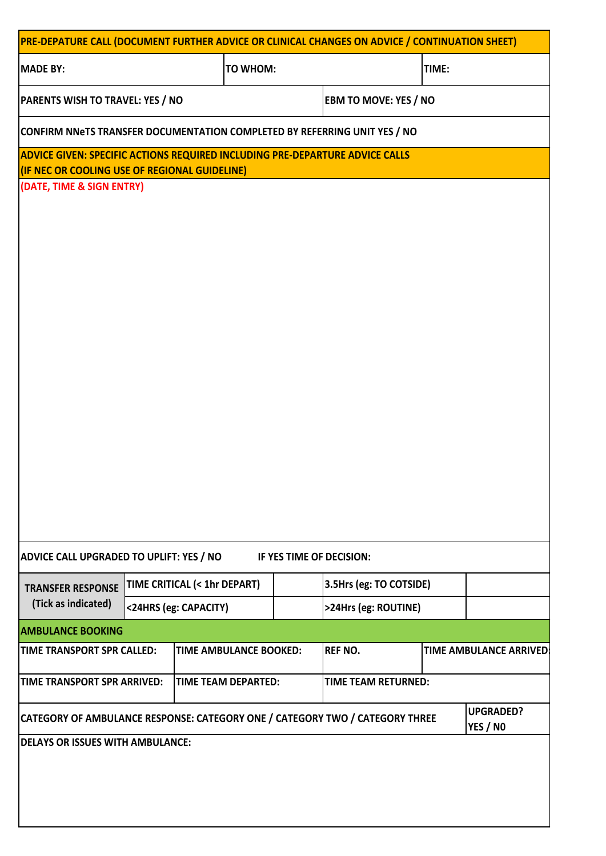| PRE-DEPATURE CALL (DOCUMENT FURTHER ADVICE OR CLINICAL CHANGES ON ADVICE / CONTINUATION SHEET)                                |                 |                               |                         |                            |       |                                |  |  |  |
|-------------------------------------------------------------------------------------------------------------------------------|-----------------|-------------------------------|-------------------------|----------------------------|-------|--------------------------------|--|--|--|
| <b>MADE BY:</b>                                                                                                               | <b>TO WHOM:</b> |                               |                         |                            | TIME: |                                |  |  |  |
| PARENTS WISH TO TRAVEL: YES / NO                                                                                              |                 | <b>EBM TO MOVE: YES / NO</b>  |                         |                            |       |                                |  |  |  |
| CONFIRM NNeTS TRANSFER DOCUMENTATION COMPLETED BY REFERRING UNIT YES / NO                                                     |                 |                               |                         |                            |       |                                |  |  |  |
| ADVICE GIVEN: SPECIFIC ACTIONS REQUIRED INCLUDING PRE-DEPARTURE ADVICE CALLS<br>(IF NEC OR COOLING USE OF REGIONAL GUIDELINE) |                 |                               |                         |                            |       |                                |  |  |  |
| (DATE, TIME & SIGN ENTRY)                                                                                                     |                 |                               |                         |                            |       |                                |  |  |  |
|                                                                                                                               |                 |                               |                         |                            |       |                                |  |  |  |
|                                                                                                                               |                 |                               |                         |                            |       |                                |  |  |  |
|                                                                                                                               |                 |                               |                         |                            |       |                                |  |  |  |
|                                                                                                                               |                 |                               |                         |                            |       |                                |  |  |  |
|                                                                                                                               |                 |                               |                         |                            |       |                                |  |  |  |
|                                                                                                                               |                 |                               |                         |                            |       |                                |  |  |  |
|                                                                                                                               |                 |                               |                         |                            |       |                                |  |  |  |
|                                                                                                                               |                 |                               |                         |                            |       |                                |  |  |  |
|                                                                                                                               |                 |                               |                         |                            |       |                                |  |  |  |
|                                                                                                                               |                 |                               |                         |                            |       |                                |  |  |  |
|                                                                                                                               |                 |                               |                         |                            |       |                                |  |  |  |
|                                                                                                                               |                 |                               |                         |                            |       |                                |  |  |  |
|                                                                                                                               |                 |                               |                         |                            |       |                                |  |  |  |
| ADVICE CALL UPGRADED TO UPLIFT: YES / NO<br>IF YES TIME OF DECISION:                                                          |                 |                               |                         |                            |       |                                |  |  |  |
| TIME CRITICAL (< 1hr DEPART)<br><b>TRANSFER RESPONSE</b><br>(Tick as indicated)<br><24HRS (eg: CAPACITY)                      |                 |                               | 3.5Hrs (eg: TO COTSIDE) |                            |       |                                |  |  |  |
|                                                                                                                               |                 |                               | >24Hrs (eg: ROUTINE)    |                            |       |                                |  |  |  |
| <b>AMBULANCE BOOKING</b>                                                                                                      |                 |                               |                         |                            |       |                                |  |  |  |
| TIME TRANSPORT SPR CALLED:                                                                                                    |                 | <b>TIME AMBULANCE BOOKED:</b> |                         | <b>REF NO.</b>             |       | <b>TIME AMBULANCE ARRIVED:</b> |  |  |  |
| <b>TIME TRANSPORT SPR ARRIVED:</b>                                                                                            |                 | TIME TEAM DEPARTED:           |                         | <b>TIME TEAM RETURNED:</b> |       |                                |  |  |  |
| <b>UPGRADED?</b><br>CATEGORY OF AMBULANCE RESPONSE: CATEGORY ONE / CATEGORY TWO / CATEGORY THREE<br><b>YES / NO</b>           |                 |                               |                         |                            |       |                                |  |  |  |
| <b>DELAYS OR ISSUES WITH AMBULANCE:</b>                                                                                       |                 |                               |                         |                            |       |                                |  |  |  |
|                                                                                                                               |                 |                               |                         |                            |       |                                |  |  |  |
|                                                                                                                               |                 |                               |                         |                            |       |                                |  |  |  |
|                                                                                                                               |                 |                               |                         |                            |       |                                |  |  |  |